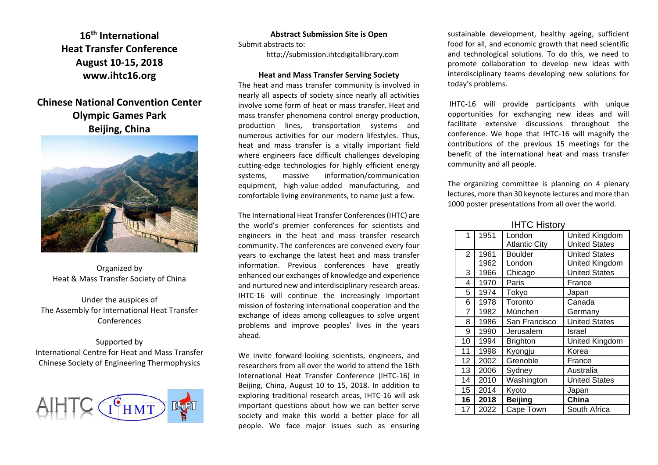**16th InternationalHeat Transfer ConferenceAugust 10‐15, 2018 www.ihtc16.org**

**Chinese National Convention Center Olympic Games Park Beijing, China**



Organized by Heat & Mass Transfer Society of China

Under the auspices of The Assembly for International Heat Transfer Conferences

Supported by International Centre for Heat and Mass Transfer Chinese Society of Engineering Thermophysics



**Abstract Submission Site is Open**

Submit abstracts to:

http://submission.ihtcdigitallibrary.com

#### **Heat and Mass Transfer Serving Society**

The heat and mass transfer community is involved in nearly all aspects of society since nearly all activities involve some form of heat or mass transfer. Heat and mass transfer phenomena control energy production, production lines, transportation systems and numerous activities for our modern lifestyles. Thus, heat and mass transfer is <sup>a</sup> vitally important field where engineers face difficult challenges developing cutting‐edge technologies for highly efficient energy systems, massive information/communication equipment, high‐value‐added manufacturing, and comfortable living environments, to name just <sup>a</sup> few.

The International Heat Transfer Conferences(IHTC) are the world's premier conferences for scientists and engineers in the heat and mass transfer research community. The conferences are convened every four years to exchange the latest heat and mass transfer information. Previous conferences have greatly enhanced our exchanges of knowledge and experience and nurtured new and interdisciplinary research areas. IHTC‐16 will continue the increasingly important mission of fostering international cooperation and the exchange of ideas among colleagues to solve urgent problems and improve peoples' lives in the years ahead.

We invite forward‐looking scientists, engineers, and researchers from all over the world to attend the 16th International Heat Transfer Conference (IHTC‐16) in Beijing, China, August 10 to 15, 2018. In addition to exploring traditional research areas, IHTC‐16 will ask important questions about how we can better serve society and make this world <sup>a</sup> better place for all people. We face major issues such as ensuring

sustainable development, healthy ageing, sufficient food for all, and economic growth that need scientific and technological solutions. To do this, we need to promote collaboration to develop new ideas with interdisciplinary teams developing new solutions for today's problems.

IHTC‐16 will provide participants with unique opportunities for exchanging new ideas and will facilitate extensive discussions throughout the conference. We hope that IHTC‐16 will magnify the contributions of the previous 15 meetings for the benefit of the international heat and mass transfer community and all people.

The organizing committee is planning on 4 plenary lectures, more than 30 keynote lectures and more than 1000 poster presentations from all over the world.

|  | <b>IHTC History</b> |
|--|---------------------|
|  |                     |

| 1              | 1951         | London<br><b>Atlantic City</b> | United Kingdom<br><b>United States</b> |
|----------------|--------------|--------------------------------|----------------------------------------|
| $\overline{2}$ | 1961<br>1962 | <b>Boulder</b><br>London       | <b>United States</b><br>United Kingdom |
| 3              |              |                                | <b>United States</b>                   |
|                | 1966         | Chicago                        |                                        |
| 4              | 1970         | Paris                          | France                                 |
| 5              | 1974         | Tokyo                          | Japan                                  |
| 6              | 1978         | Toronto                        | Canada                                 |
| 7              | 1982         | München                        | Germany                                |
| 8              | 1986         | San Francisco                  | <b>United States</b>                   |
| 9              | 1990         | Jerusalem                      | Israel                                 |
| 10             | 1994         | <b>Brighton</b>                | United Kingdom                         |
| 11             | 1998         | Kyongju                        | Korea                                  |
| 12             | 2002         | Grenoble                       | France                                 |
| 13             | 2006         | Sydney                         | Australia                              |
| 14             | 2010         | Washington                     | <b>United States</b>                   |
| 15             | 2014         | Kyoto                          | Japan                                  |
| 16             | 2018         | <b>Beijing</b>                 | China                                  |
| 17             | 2022         | Cape Town                      | South Africa                           |